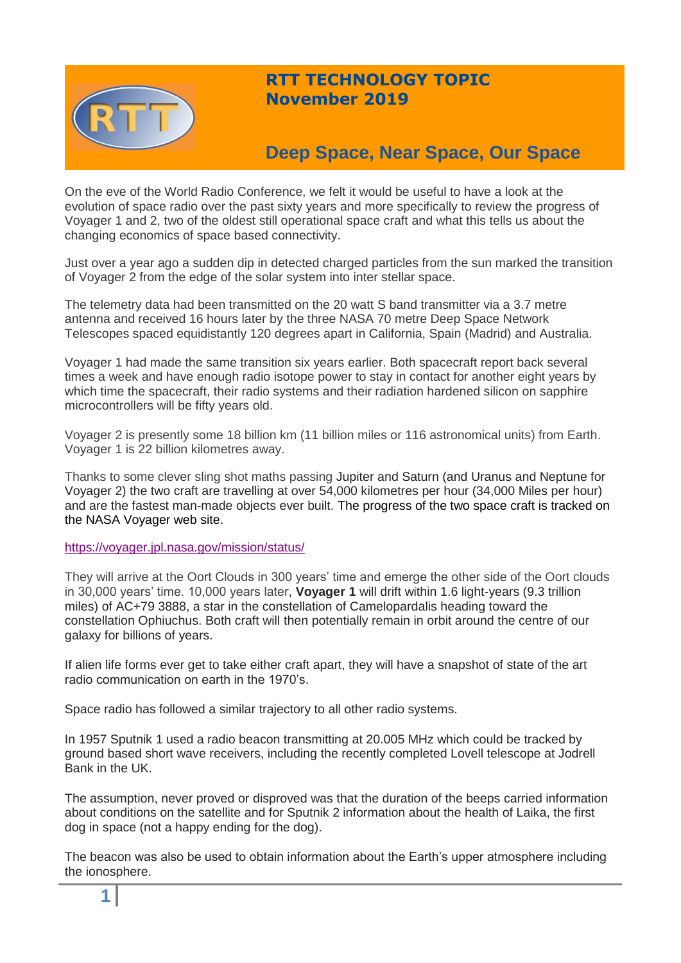

# **RTT TECHNOLOGY TOPIC November 2019**

# **Deep Space, Near Space, Our Space**

On the eve of the World Radio Conference, we felt it would be useful to have a look at the evolution of space radio over the past sixty years and more specifically to review the progress of Voyager 1 and 2, two of the oldest still operational space craft and what this tells us about the changing economics of space based connectivity.

Just over a year ago a sudden dip in detected charged particles from the sun marked the transition of Voyager 2 from the edge of the solar system into inter stellar space.

The telemetry data had been transmitted on the 20 watt S band transmitter via a 3.7 metre antenna and received 16 hours later by the three NASA 70 metre Deep Space Network Telescopes spaced equidistantly 120 degrees apart in California, Spain (Madrid) and Australia.

Voyager 1 had made the same transition six years earlier. Both spacecraft report back several times a week and have enough radio isotope power to stay in contact for another eight years by which time the spacecraft, their radio systems and their radiation hardened silicon on sapphire microcontrollers will be fifty years old.

Voyager 2 is presently some 18 billion km (11 billion miles or 116 astronomical units) from Earth. Voyager 1 is 22 billion kilometres away.

Thanks to some clever sling shot maths passing Jupiter and Saturn (and Uranus and Neptune for Voyager 2) the two craft are travelling at over 54,000 kilometres per hour (34,000 Miles per hour) and are the fastest man-made objects ever built. The progress of the two space craft is tracked on the NASA Voyager web site.

<https://voyager.jpl.nasa.gov/mission/status/>

They will arrive at the Oort Clouds in 300 years' time and emerge the other side of the Oort clouds in 30,000 years' time. 10,000 years later, **Voyager 1** will drift within 1.6 light-years (9.3 trillion miles) of AC+79 3888, a star in the constellation of Camelopardalis heading toward the constellation Ophiuchus. Both craft will then potentially remain in orbit around the centre of our galaxy for billions of years.

If alien life forms ever get to take either craft apart, they will have a snapshot of state of the art radio communication on earth in the 1970's.

Space radio has followed a similar trajectory to all other radio systems.

In 1957 Sputnik 1 used a radio beacon transmitting at 20.005 MHz which could be tracked by ground based short wave receivers, including the recently completed Lovell telescope at Jodrell Bank in the UK.

The assumption, never proved or disproved was that the duration of the beeps carried information about conditions on the satellite and for Sputnik 2 information about the health of Laika, the first dog in space (not a happy ending for the dog).

The beacon was also be used to obtain information about the Earth's upper atmosphere including the ionosphere.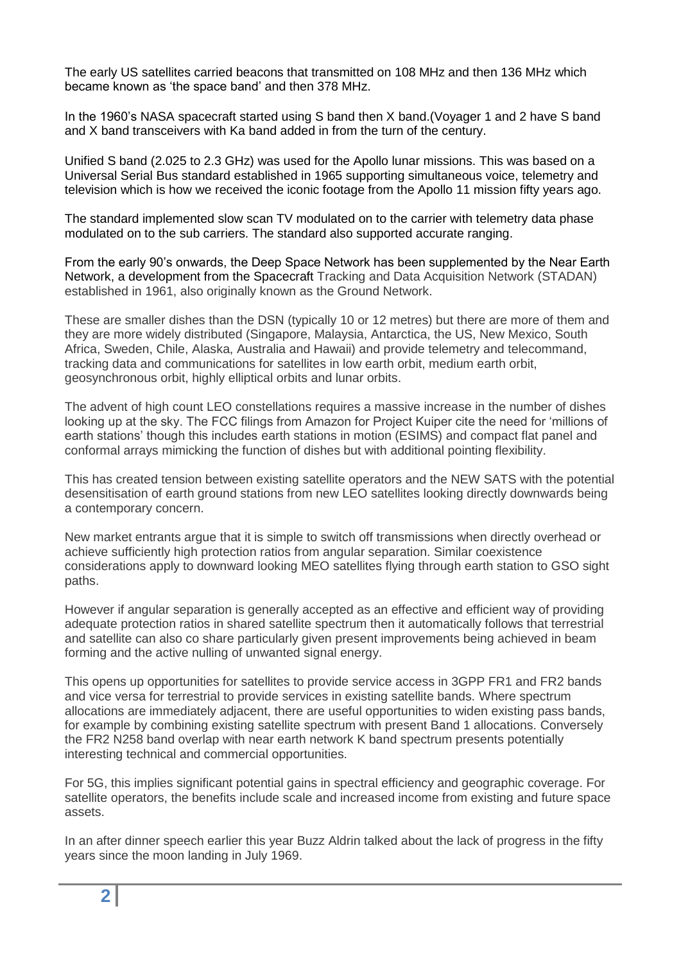The early US satellites carried beacons that transmitted on 108 MHz and then 136 MHz which became known as 'the space band' and then 378 MHz.

In the 1960's NASA spacecraft started using S band then X band.(Voyager 1 and 2 have S band and X band transceivers with Ka band added in from the turn of the century.

Unified S band (2.025 to 2.3 GHz) was used for the Apollo lunar missions. This was based on a Universal Serial Bus standard established in 1965 supporting simultaneous voice, telemetry and television which is how we received the iconic footage from the Apollo 11 mission fifty years ago.

The standard implemented slow scan TV modulated on to the carrier with telemetry data phase modulated on to the sub carriers. The standard also supported accurate ranging.

From the early 90's onwards, the Deep Space Network has been supplemented by the Near Earth Network, a development from the Spacecraft Tracking and Data Acquisition Network (STADAN) established in 1961, also originally known as the Ground Network.

These are smaller dishes than the DSN (typically 10 or 12 metres) but there are more of them and they are more widely distributed (Singapore, Malaysia, Antarctica, the US, New Mexico, South Africa, Sweden, Chile, Alaska, Australia and Hawaii) and provide telemetry and telecommand, tracking data and communications for satellites in low earth orbit, medium earth orbit, geosynchronous orbit, highly elliptical orbits and lunar orbits.

The advent of high count LEO constellations requires a massive increase in the number of dishes looking up at the sky. The FCC filings from Amazon for Project Kuiper cite the need for 'millions of earth stations' though this includes earth stations in motion (ESIMS) and compact flat panel and conformal arrays mimicking the function of dishes but with additional pointing flexibility.

This has created tension between existing satellite operators and the NEW SATS with the potential desensitisation of earth ground stations from new LEO satellites looking directly downwards being a contemporary concern.

New market entrants argue that it is simple to switch off transmissions when directly overhead or achieve sufficiently high protection ratios from angular separation. Similar coexistence considerations apply to downward looking MEO satellites flying through earth station to GSO sight paths.

However if angular separation is generally accepted as an effective and efficient way of providing adequate protection ratios in shared satellite spectrum then it automatically follows that terrestrial and satellite can also co share particularly given present improvements being achieved in beam forming and the active nulling of unwanted signal energy.

This opens up opportunities for satellites to provide service access in 3GPP FR1 and FR2 bands and vice versa for terrestrial to provide services in existing satellite bands. Where spectrum allocations are immediately adjacent, there are useful opportunities to widen existing pass bands, for example by combining existing satellite spectrum with present Band 1 allocations. Conversely the FR2 N258 band overlap with near earth network K band spectrum presents potentially interesting technical and commercial opportunities.

For 5G, this implies significant potential gains in spectral efficiency and geographic coverage. For satellite operators, the benefits include scale and increased income from existing and future space assets.

In an after dinner speech earlier this year Buzz Aldrin talked about the lack of progress in the fifty years since the moon landing in July 1969.